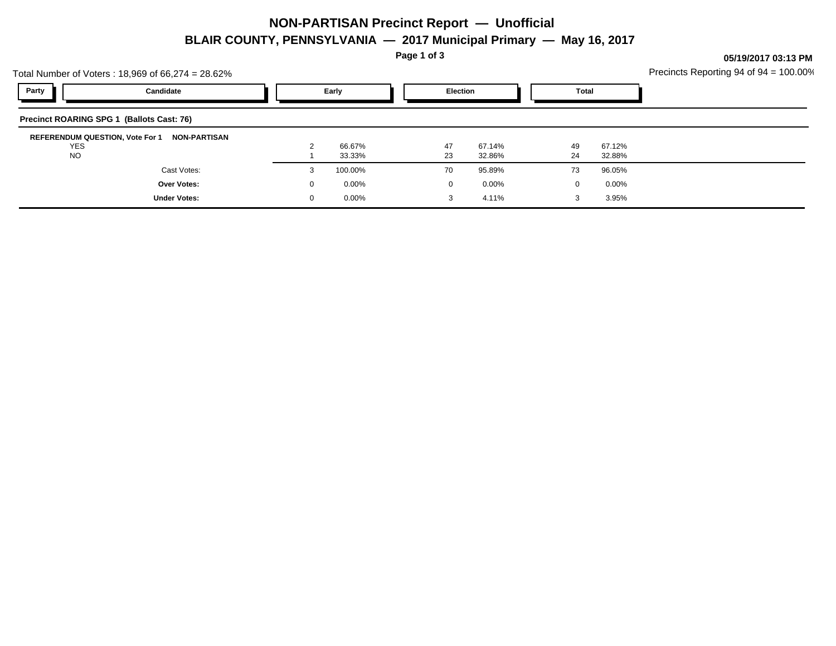## **NON-PARTISAN Precinct Report — Unofficial BLAIR COUNTY, PENNSYLVANIA — 2017 Municipal Primary — May 16, 2017**

**Page 1 of 3**

**05/19/2017 03:13 PM**

| Total Number of Voters: $18,969$ of $66,274 = 28.62\%$ |                                           |          |          |  |                 |          |              |          |          | Precincts Reporting 94 of 94 = 100.00% |
|--------------------------------------------------------|-------------------------------------------|----------|----------|--|-----------------|----------|--------------|----------|----------|----------------------------------------|
| Party                                                  | Candidate                                 |          | Early    |  | <b>Election</b> |          | <b>Total</b> |          |          |                                        |
|                                                        | Precinct ROARING SPG 1 (Ballots Cast: 76) |          |          |  |                 |          |              |          |          |                                        |
| <b>REFERENDUM QUESTION, Vote For 1</b><br><b>YES</b>   | <b>NON-PARTISAN</b>                       |          | 66.67%   |  | 47              | 67.14%   |              | 49       | 67.12%   |                                        |
| NO.                                                    |                                           |          | 33.33%   |  | 23              | 32.86%   |              | 24       | 32.88%   |                                        |
|                                                        | Cast Votes:                               | 3        | 100.00%  |  | 70              | 95.89%   |              | 73       | 96.05%   |                                        |
|                                                        | Over Votes:                               | $\Omega$ | $0.00\%$ |  | $\Omega$        | $0.00\%$ |              | $\Omega$ | $0.00\%$ |                                        |
|                                                        | <b>Under Votes:</b>                       | 0        | $0.00\%$ |  | 3               | 4.11%    |              | 3        | 3.95%    |                                        |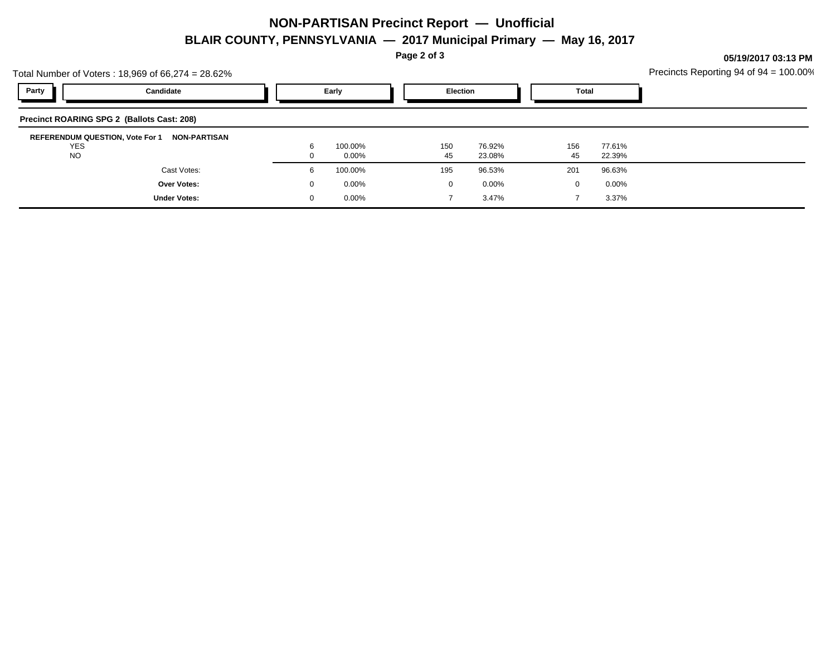## **NON-PARTISAN Precinct Report — Unofficial BLAIR COUNTY, PENNSYLVANIA — 2017 Municipal Primary — May 16, 2017**

**Page 2 of 3**

**05/19/2017 03:13 PM**

|       | Total Number of Voters: 18,969 of 66,274 = 28.62%                       | Precincts Reporting 94 of $94 = 100.00\%$ |           |                  |              |           |                  |  |
|-------|-------------------------------------------------------------------------|-------------------------------------------|-----------|------------------|--------------|-----------|------------------|--|
| Party | Candidate                                                               | Early                                     |           | <b>Election</b>  | <b>Total</b> |           |                  |  |
|       | Precinct ROARING SPG 2 (Ballots Cast: 208)                              |                                           |           |                  |              |           |                  |  |
|       | REFERENDUM QUESTION, Vote For 1 NON-PARTISAN<br><b>YES</b><br><b>NO</b> | 100.00%<br>$0.00\%$                       | 150<br>45 | 76.92%<br>23.08% |              | 156<br>45 | 77.61%<br>22.39% |  |
|       | Cast Votes:                                                             | 100.00%                                   | 195       | 96.53%           |              | 201       | 96.63%           |  |
|       | <b>Over Votes:</b>                                                      | $0.00\%$                                  |           | 0.00%            |              | $\Omega$  | $0.00\%$         |  |
|       | <b>Under Votes:</b>                                                     | $0.00\%$                                  |           | 3.47%            |              |           | 3.37%            |  |